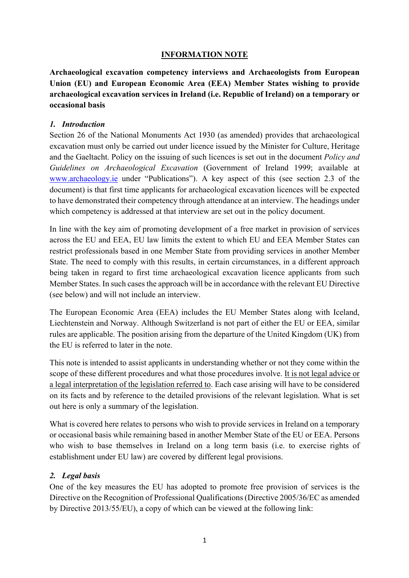#### **INFORMATION NOTE**

**Archaeological excavation competency interviews and Archaeologists from European Union (EU) and European Economic Area (EEA) Member States wishing to provide archaeological excavation services in Ireland (i.e. Republic of Ireland) on a temporary or occasional basis**

#### *1. Introduction*

Section 26 of the National Monuments Act 1930 (as amended) provides that archaeological excavation must only be carried out under licence issued by the Minister for Culture, Heritage and the Gaeltacht. Policy on the issuing of such licences is set out in the document *Policy and Guidelines on Archaeological Excavation* (Government of Ireland 1999; available at www.archaeology.ie under "Publications"). A key aspect of this (see section 2.3 of the document) is that first time applicants for archaeological excavation licences will be expected to have demonstrated their competency through attendance at an interview. The headings under which competency is addressed at that interview are set out in the policy document.

In line with the key aim of promoting development of a free market in provision of services across the EU and EEA, EU law limits the extent to which EU and EEA Member States can restrict professionals based in one Member State from providing services in another Member State. The need to comply with this results, in certain circumstances, in a different approach being taken in regard to first time archaeological excavation licence applicants from such Member States. In such cases the approach will be in accordance with the relevant EU Directive (see below) and will not include an interview.

The European Economic Area (EEA) includes the EU Member States along with Iceland, Liechtenstein and Norway. Although Switzerland is not part of either the EU or EEA, similar rules are applicable. The position arising from the departure of the United Kingdom (UK) from the EU is referred to later in the note.

This note is intended to assist applicants in understanding whether or not they come within the scope of these different procedures and what those procedures involve. It is not legal advice or a legal interpretation of the legislation referred to. Each case arising will have to be considered on its facts and by reference to the detailed provisions of the relevant legislation. What is set out here is only a summary of the legislation.

What is covered here relates to persons who wish to provide services in Ireland on a temporary or occasional basis while remaining based in another Member State of the EU or EEA. Persons who wish to base themselves in Ireland on a long term basis (i.e. to exercise rights of establishment under EU law) are covered by different legal provisions.

#### *2. Legal basis*

One of the key measures the EU has adopted to promote free provision of services is the Directive on the Recognition of Professional Qualifications (Directive 2005/36/EC as amended by Directive 2013/55/EU), a copy of which can be viewed at the following link: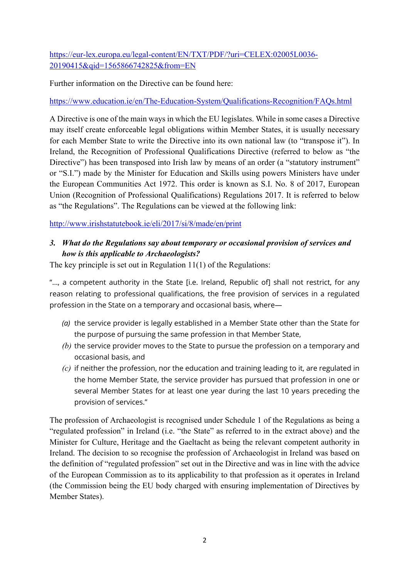# https://eur-lex.europa.eu/legal-content/EN/TXT/PDF/?uri=CELEX:02005L0036- 20190415&qid=1565866742825&from=EN

Further information on the Directive can be found here:

#### https://www.education.ie/en/The-Education-System/Qualifications-Recognition/FAQs.html

A Directive is one of the main ways in which the EU legislates. While in some cases a Directive may itself create enforceable legal obligations within Member States, it is usually necessary for each Member State to write the Directive into its own national law (to "transpose it"). In Ireland, the Recognition of Professional Qualifications Directive (referred to below as "the Directive") has been transposed into Irish law by means of an order (a "statutory instrument" or "S.I.") made by the Minister for Education and Skills using powers Ministers have under the European Communities Act 1972. This order is known as S.I. No. 8 of 2017, European Union (Recognition of Professional Qualifications) Regulations 2017. It is referred to below as "the Regulations". The Regulations can be viewed at the following link:

http://www.irishstatutebook.ie/eli/2017/si/8/made/en/print

### *3. What do the Regulations say about temporary or occasional provision of services and how is this applicable to Archaeologists?*

The key principle is set out in Regulation 11(1) of the Regulations:

"..., a competent authority in the State [i.e. Ireland, Republic of] shall not restrict, for any reason relating to professional qualifications, the free provision of services in a regulated profession in the State on a temporary and occasional basis, where—

- *(a)* the service provider is legally established in a Member State other than the State for the purpose of pursuing the same profession in that Member State,
- *(b)* the service provider moves to the State to pursue the profession on a temporary and occasional basis, and
- *(c)* if neither the profession, nor the education and training leading to it, are regulated in the home Member State, the service provider has pursued that profession in one or several Member States for at least one year during the last 10 years preceding the provision of services."

The profession of Archaeologist is recognised under Schedule 1 of the Regulations as being a "regulated profession" in Ireland (i.e. "the State" as referred to in the extract above) and the Minister for Culture, Heritage and the Gaeltacht as being the relevant competent authority in Ireland. The decision to so recognise the profession of Archaeologist in Ireland was based on the definition of "regulated profession" set out in the Directive and was in line with the advice of the European Commission as to its applicability to that profession as it operates in Ireland (the Commission being the EU body charged with ensuring implementation of Directives by Member States).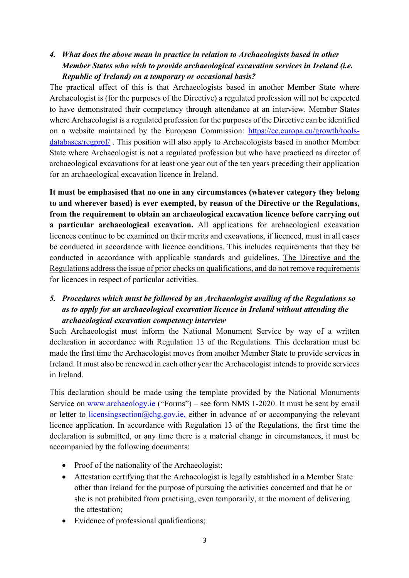# *4. What does the above mean in practice in relation to Archaeologists based in other Member States who wish to provide archaeological excavation services in Ireland (i.e. Republic of Ireland) on a temporary or occasional basis?*

The practical effect of this is that Archaeologists based in another Member State where Archaeologist is (for the purposes of the Directive) a regulated profession will not be expected to have demonstrated their competency through attendance at an interview. Member States where Archaeologist is a regulated profession for the purposes of the Directive can be identified on a website maintained by the European Commission: https://ec.europa.eu/growth/toolsdatabases/regprof/ . This position will also apply to Archaeologists based in another Member State where Archaeologist is not a regulated profession but who have practiced as director of archaeological excavations for at least one year out of the ten years preceding their application for an archaeological excavation licence in Ireland.

**It must be emphasised that no one in any circumstances (whatever category they belong to and wherever based) is ever exempted, by reason of the Directive or the Regulations, from the requirement to obtain an archaeological excavation licence before carrying out a particular archaeological excavation.** All applications for archaeological excavation licences continue to be examined on their merits and excavations, if licenced, must in all cases be conducted in accordance with licence conditions. This includes requirements that they be conducted in accordance with applicable standards and guidelines. The Directive and the Regulations address the issue of prior checks on qualifications, and do not remove requirements for licences in respect of particular activities.

### *5. Procedures which must be followed by an Archaeologist availing of the Regulations so as to apply for an archaeological excavation licence in Ireland without attending the archaeological excavation competency interview*

Such Archaeologist must inform the National Monument Service by way of a written declaration in accordance with Regulation 13 of the Regulations. This declaration must be made the first time the Archaeologist moves from another Member State to provide services in Ireland. It must also be renewed in each other year the Archaeologist intends to provide services in Ireland.

This declaration should be made using the template provided by the National Monuments Service on www.archaeology.ie ("Forms") – see form NMS 1-2020. It must be sent by email or letter to licensingsection@chg.gov.ie, either in advance of or accompanying the relevant licence application. In accordance with Regulation 13 of the Regulations, the first time the declaration is submitted, or any time there is a material change in circumstances, it must be accompanied by the following documents:

- Proof of the nationality of the Archaeologist;
- Attestation certifying that the Archaeologist is legally established in a Member State other than Ireland for the purpose of pursuing the activities concerned and that he or she is not prohibited from practising, even temporarily, at the moment of delivering the attestation;
- Evidence of professional qualifications;